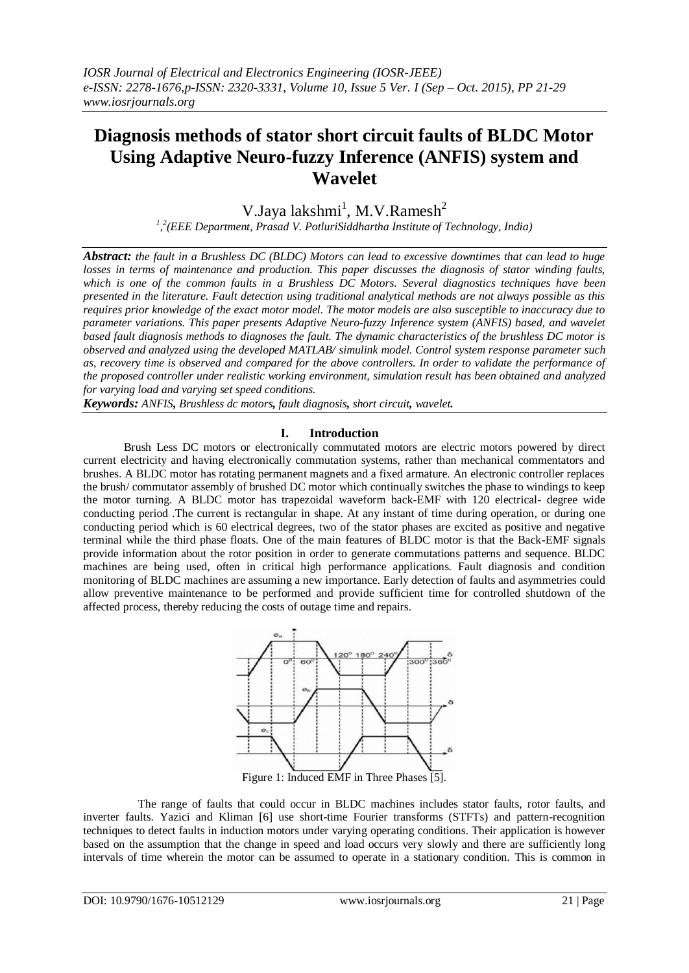# **Diagnosis methods of stator short circuit faults of BLDC Motor Using Adaptive Neuro-fuzzy Inference (ANFIS) system and Wavelet**

V.Jaya lakshmi<sup>1</sup>, M.V.Ramesh<sup>2</sup>

<sup>1</sup>,<sup>2</sup>(EEE Department, Prasad V. PotluriSiddhartha Institute of Technology, India)

*Abstract: the fault in a Brushless DC (BLDC) Motors can lead to excessive downtimes that can lead to huge losses in terms of maintenance and production. This paper discusses the diagnosis of stator winding faults, which is one of the common faults in a Brushless DC Motors. Several diagnostics techniques have been presented in the literature. Fault detection using traditional analytical methods are not always possible as this requires prior knowledge of the exact motor model. The motor models are also susceptible to inaccuracy due to parameter variations. This paper presents Adaptive Neuro-fuzzy Inference system (ANFIS) based, and wavelet based fault diagnosis methods to diagnoses the fault. The dynamic characteristics of the brushless DC motor is observed and analyzed using the developed MATLAB/ simulink model. Control system response parameter such as, recovery time is observed and compared for the above controllers. In order to validate the performance of the proposed controller under realistic working environment, simulation result has been obtained and analyzed for varying load and varying set speed conditions.*

*Keywords: ANFIS, Brushless dc motors, fault diagnosis, short circuit, wavelet.*

# **I. Introduction**

 Brush Less DC motors or electronically commutated motors are electric motors powered by direct current electricity and having electronically commutation systems, rather than mechanical commentators and brushes. A BLDC motor has rotating permanent magnets and a fixed armature. An electronic controller replaces the brush/ commutator assembly of brushed DC motor which continually switches the phase to windings to keep the motor turning. A BLDC motor has trapezoidal waveform back-EMF with 120 electrical- degree wide conducting period .The current is rectangular in shape. At any instant of time during operation, or during one conducting period which is 60 electrical degrees, two of the stator phases are excited as positive and negative terminal while the third phase floats. One of the main features of BLDC motor is that the Back-EMF signals provide information about the rotor position in order to generate commutations patterns and sequence. BLDC machines are being used, often in critical high performance applications. Fault diagnosis and condition monitoring of BLDC machines are assuming a new importance. Early detection of faults and asymmetries could allow preventive maintenance to be performed and provide sufficient time for controlled shutdown of the affected process, thereby reducing the costs of outage time and repairs.



Figure 1: Induced EMF in Three Phases [5].

 The range of faults that could occur in BLDC machines includes stator faults, rotor faults, and inverter faults. Yazici and Kliman [6] use short-time Fourier transforms (STFTs) and pattern-recognition techniques to detect faults in induction motors under varying operating conditions. Their application is however based on the assumption that the change in speed and load occurs very slowly and there are sufficiently long intervals of time wherein the motor can be assumed to operate in a stationary condition. This is common in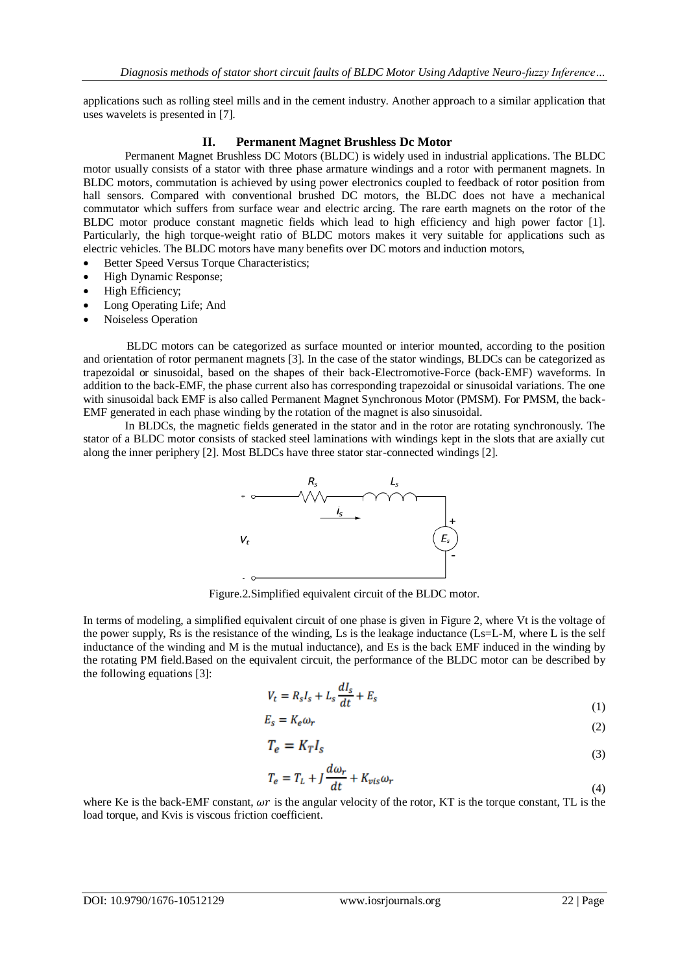applications such as rolling steel mills and in the cement industry. Another approach to a similar application that uses wavelets is presented in [7].

## **II. Permanent Magnet Brushless Dc Motor**

Permanent Magnet Brushless DC Motors (BLDC) is widely used in industrial applications. The BLDC motor usually consists of a stator with three phase armature windings and a rotor with permanent magnets. In BLDC motors, commutation is achieved by using power electronics coupled to feedback of rotor position from hall sensors. Compared with conventional brushed DC motors, the BLDC does not have a mechanical commutator which suffers from surface wear and electric arcing. The rare earth magnets on the rotor of the BLDC motor produce constant magnetic fields which lead to high efficiency and high power factor [1]. Particularly, the high torque-weight ratio of BLDC motors makes it very suitable for applications such as electric vehicles. The BLDC motors have many benefits over DC motors and induction motors,

- Better Speed Versus Torque Characteristics;
- High Dynamic Response;
- High Efficiency:
- Long Operating Life; And
- Noiseless Operation

 BLDC motors can be categorized as surface mounted or interior mounted, according to the position and orientation of rotor permanent magnets [3]. In the case of the stator windings, BLDCs can be categorized as trapezoidal or sinusoidal, based on the shapes of their back-Electromotive-Force (back-EMF) waveforms. In addition to the back-EMF, the phase current also has corresponding trapezoidal or sinusoidal variations. The one with sinusoidal back EMF is also called Permanent Magnet Synchronous Motor (PMSM). For PMSM, the back-EMF generated in each phase winding by the rotation of the magnet is also sinusoidal.

In BLDCs, the magnetic fields generated in the stator and in the rotor are rotating synchronously. The stator of a BLDC motor consists of stacked steel laminations with windings kept in the slots that are axially cut along the inner periphery [2]. Most BLDCs have three stator star-connected windings [2].



Figure.2.Simplified equivalent circuit of the BLDC motor.

In terms of modeling, a simplified equivalent circuit of one phase is given in Figure 2, where Vt is the voltage of the power supply, Rs is the resistance of the winding, Ls is the leakage inductance (Ls=L-M, where L is the self inductance of the winding and M is the mutual inductance), and Es is the back EMF induced in the winding by the rotating PM field.Based on the equivalent circuit, the performance of the BLDC motor can be described by the following equations [3]:

$$
V_t = R_s I_s + L_s \frac{dI_s}{dt} + E_s \tag{1}
$$

$$
E_s = K_e \omega_r \tag{2}
$$

$$
T_e = K_T I_s \tag{3}
$$

$$
T_e = T_L + J \frac{d\omega_r}{dt} + K_{vis}\omega_r
$$
\n<sup>(4)</sup>

where Ke is the back-EMF constant,  $\omega r$  is the angular velocity of the rotor, KT is the torque constant, TL is the load torque, and Kvis is viscous friction coefficient.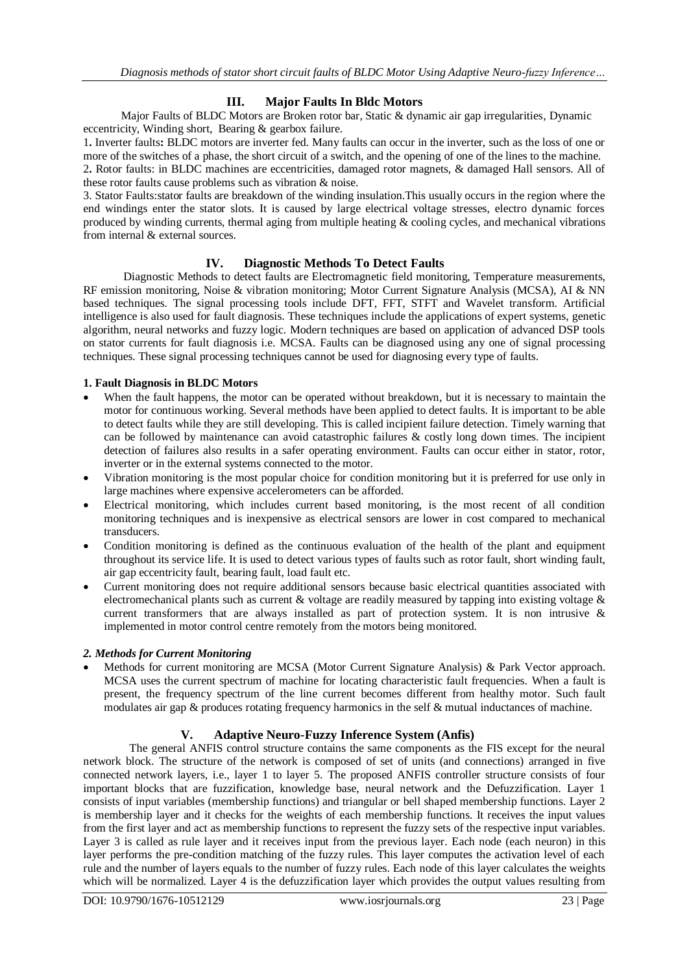# **III. Major Faults In Bldc Motors**

 Major Faults of BLDC Motors are Broken rotor bar, Static & dynamic air gap irregularities, Dynamic eccentricity, Winding short, Bearing & gearbox failure.

1**.** Inverter faults**:** BLDC motors are inverter fed. Many faults can occur in the inverter, such as the loss of one or more of the switches of a phase, the short circuit of a switch, and the opening of one of the lines to the machine. 2**.** Rotor faults: in BLDC machines are eccentricities, damaged rotor magnets, & damaged Hall sensors. All of these rotor faults cause problems such as vibration & noise.

3. Stator Faults:stator faults are breakdown of the winding insulation.This usually occurs in the region where the end windings enter the stator slots. It is caused by large electrical voltage stresses, electro dynamic forces produced by winding currents, thermal aging from multiple heating & cooling cycles, and mechanical vibrations from internal & external sources.

## **IV. Diagnostic Methods To Detect Faults**

 Diagnostic Methods to detect faults are Electromagnetic field monitoring, Temperature measurements, RF emission monitoring, Noise & vibration monitoring; Motor Current Signature Analysis (MCSA), AI & NN based techniques. The signal processing tools include DFT, FFT, STFT and Wavelet transform. Artificial intelligence is also used for fault diagnosis. These techniques include the applications of expert systems, genetic algorithm, neural networks and fuzzy logic. Modern techniques are based on application of advanced DSP tools on stator currents for fault diagnosis i.e. MCSA. Faults can be diagnosed using any one of signal processing techniques. These signal processing techniques cannot be used for diagnosing every type of faults.

## **1. Fault Diagnosis in BLDC Motors**

- When the fault happens, the motor can be operated without breakdown, but it is necessary to maintain the motor for continuous working. Several methods have been applied to detect faults. It is important to be able to detect faults while they are still developing. This is called incipient failure detection. Timely warning that can be followed by maintenance can avoid catastrophic failures & costly long down times. The incipient detection of failures also results in a safer operating environment. Faults can occur either in stator, rotor, inverter or in the external systems connected to the motor.
- Vibration monitoring is the most popular choice for condition monitoring but it is preferred for use only in large machines where expensive accelerometers can be afforded.
- Electrical monitoring, which includes current based monitoring, is the most recent of all condition monitoring techniques and is inexpensive as electrical sensors are lower in cost compared to mechanical transducers.
- Condition monitoring is defined as the continuous evaluation of the health of the plant and equipment throughout its service life. It is used to detect various types of faults such as rotor fault, short winding fault, air gap eccentricity fault, bearing fault, load fault etc.
- Current monitoring does not require additional sensors because basic electrical quantities associated with electromechanical plants such as current & voltage are readily measured by tapping into existing voltage & current transformers that are always installed as part of protection system. It is non intrusive & implemented in motor control centre remotely from the motors being monitored.

## *2. Methods for Current Monitoring*

 Methods for current monitoring are MCSA (Motor Current Signature Analysis) & Park Vector approach. MCSA uses the current spectrum of machine for locating characteristic fault frequencies. When a fault is present, the frequency spectrum of the line current becomes different from healthy motor. Such fault modulates air gap  $\&$  produces rotating frequency harmonics in the self  $\&$  mutual inductances of machine.

# **V. Adaptive Neuro-Fuzzy Inference System (Anfis)**

 The general ANFIS control structure contains the same components as the FIS except for the neural network block. The structure of the network is composed of set of units (and connections) arranged in five connected network layers, i.e., layer 1 to layer 5. The proposed ANFIS controller structure consists of four important blocks that are fuzzification, knowledge base, neural network and the Defuzzification. Layer 1 consists of input variables (membership functions) and triangular or bell shaped membership functions. Layer 2 is membership layer and it checks for the weights of each membership functions. It receives the input values from the first layer and act as membership functions to represent the fuzzy sets of the respective input variables. Layer 3 is called as rule layer and it receives input from the previous layer. Each node (each neuron) in this layer performs the pre-condition matching of the fuzzy rules. This layer computes the activation level of each rule and the number of layers equals to the number of fuzzy rules. Each node of this layer calculates the weights which will be normalized. Layer 4 is the defuzzification layer which provides the output values resulting from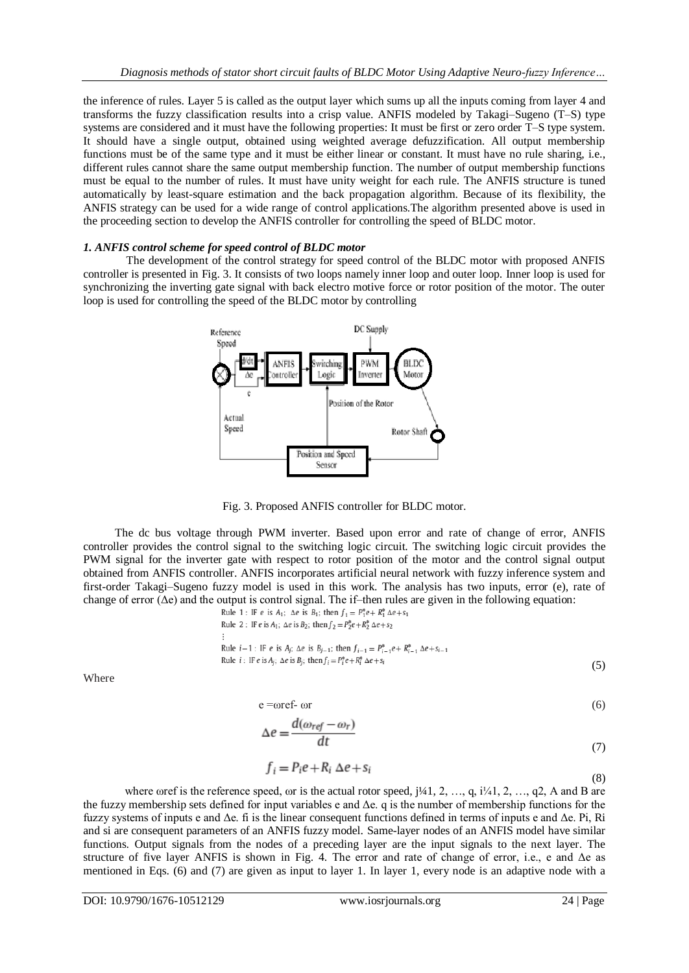the inference of rules. Layer 5 is called as the output layer which sums up all the inputs coming from layer 4 and transforms the fuzzy classification results into a crisp value. ANFIS modeled by Takagi–Sugeno (T–S) type systems are considered and it must have the following properties: It must be first or zero order T–S type system. It should have a single output, obtained using weighted average defuzzification. All output membership functions must be of the same type and it must be either linear or constant. It must have no rule sharing, i.e., different rules cannot share the same output membership function. The number of output membership functions must be equal to the number of rules. It must have unity weight for each rule. The ANFIS structure is tuned automatically by least-square estimation and the back propagation algorithm. Because of its flexibility, the ANFIS strategy can be used for a wide range of control applications.The algorithm presented above is used in the proceeding section to develop the ANFIS controller for controlling the speed of BLDC motor.

## *1. ANFIS control scheme for speed control of BLDC motor*

 The development of the control strategy for speed control of the BLDC motor with proposed ANFIS controller is presented in Fig. 3. It consists of two loops namely inner loop and outer loop. Inner loop is used for synchronizing the inverting gate signal with back electro motive force or rotor position of the motor. The outer loop is used for controlling the speed of the BLDC motor by controlling



Fig. 3. Proposed ANFIS controller for BLDC motor.

 The dc bus voltage through PWM inverter. Based upon error and rate of change of error, ANFIS controller provides the control signal to the switching logic circuit. The switching logic circuit provides the PWM signal for the inverter gate with respect to rotor position of the motor and the control signal output obtained from ANFIS controller. ANFIS incorporates artificial neural network with fuzzy inference system and first-order Takagi–Sugeno fuzzy model is used in this work. The analysis has two inputs, error (e), rate of change of error  $(\Delta e)$  and the output is control signal. The if–then rules are given in the following equation:

Rule 1: IF *e* is *A*<sub>1</sub>; 
$$
\Delta e
$$
 is *B*<sub>1</sub>; then  $f_1 = P_1^* e + R_1^* \Delta e + s_1$   
\nRule 2: IF *e* is *A*<sub>1</sub>;  $\Delta e$  is *B*<sub>2</sub>; then  $f_2 = P_2^* e + R_2^* \Delta e + s_2$   
\n:  
\nRule *i*–1: IF *e* is *A*<sub>j</sub>;  $\Delta e$  is *B*<sub>j–1</sub>; then  $f_{i-1} = P_{i-1}^* e + R_{i-1}^* \Delta e + s_{i-1}$   
\nRule *i*: IF *e* is *A*<sub>j</sub>;  $\Delta e$  is *B*<sub>j</sub>; then  $f_i = P_i^* e + R_i^* \Delta e + s_i$  (5)

Where

$$
e = \text{coref} - \text{or} \tag{6}
$$

$$
\Delta e = \frac{d(\omega_{\text{ref}} - \omega_r)}{dt} \tag{7}
$$

$$
f_i = P_i e + R_i \Delta e + s_i \tag{8}
$$

where  $\omega$  is the reference speed,  $\omega$  is the actual rotor speed,  $j\frac{1}{4}, 2, ..., q$ ,  $j\frac{1}{4}, 2, ..., q$ , A and B are the fuzzy membership sets defined for input variables e and  $\Delta e$ . q is the number of membership functions for the fuzzy systems of inputs e and Δe. fi is the linear consequent functions defined in terms of inputs e and Δe. Pi, Ri and si are consequent parameters of an ANFIS fuzzy model. Same-layer nodes of an ANFIS model have similar functions. Output signals from the nodes of a preceding layer are the input signals to the next layer. The structure of five layer ANFIS is shown in Fig. 4. The error and rate of change of error, i.e., e and Δe as mentioned in Eqs. (6) and (7) are given as input to layer 1. In layer 1, every node is an adaptive node with a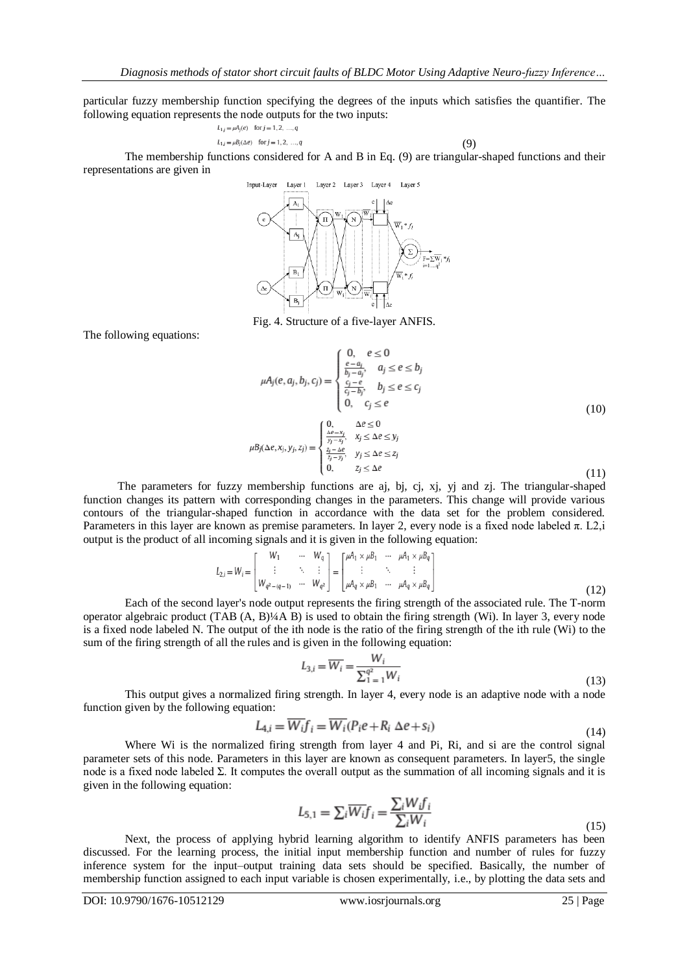particular fuzzy membership function specifying the degrees of the inputs which satisfies the quantifier. The following equation represents the node outputs for the two inputs:

$$
L_{1,j} = \mu A_j(e) \quad \text{for } j = 1, 2, ..., q
$$

$$
L_{1,j} = \mu B_j(\Delta e) \quad \text{for } j = 1, 2, ..., q
$$

The membership functions considered for A and B in Eq. (9) are triangular-shaped functions and their representations are given in



Fig. 4. Structure of a five-layer ANFIS.

The following equations:

$$
\mu A_j(e, a_j, b_j, c_j) = \begin{cases}\n0, & e \le 0 \\
\frac{e - a_j}{b_j - a_j}, & a_j \le e \le b_j \\
\frac{c_j - b}{c_j - b_j}, & b_j \le e \le c_j \\
0, & c_j \le e\n\end{cases}
$$
\n
$$
\mu B_j(\Delta e, x_j, y_j, z_j) = \begin{cases}\n0, & \Delta e \le 0 \\
\frac{\Delta e - x_j}{y_j - x_j}, & x_j \le \Delta e \le y_j \\
\frac{2j - \Delta e}{z_j - y_j}, & y_j \le \Delta e \le z_j \\
0, & z_j \le \Delta e\n\end{cases}
$$
\n(11)

(9)

 The parameters for fuzzy membership functions are aj, bj, cj, xj, yj and zj. The triangular-shaped function changes its pattern with corresponding changes in the parameters. This change will provide various contours of the triangular-shaped function in accordance with the data set for the problem considered. Parameters in this layer are known as premise parameters. In layer 2, every node is a fixed node labeled  $\pi$ . L2,i output is the product of all incoming signals and it is given in the following equation:

$$
L_{2,i} = W_i = \begin{bmatrix} W_1 & \cdots & W_q \\ \vdots & \ddots & \vdots \\ W_{q^2 - (q-1)} & \cdots & W_{q^2} \end{bmatrix} = \begin{bmatrix} \mu A_1 \times \mu B_1 & \cdots & \mu A_1 \times \mu B_q \\ \vdots & \ddots & \vdots \\ \mu A_q \times \mu B_1 & \cdots & \mu A_q \times \mu B_q \end{bmatrix}
$$
(12)

Each of the second layer's node output represents the firing strength of the associated rule. The T-norm operator algebraic product (TAB  $(A, B)/4A$  B) is used to obtain the firing strength (Wi). In layer 3, every node is a fixed node labeled N. The output of the ith node is the ratio of the firing strength of the ith rule (Wi) to the sum of the firing strength of all the rules and is given in the following equation:

$$
L_{3,i} = \overline{W_i} = \frac{W_i}{\sum_{1=1}^{q^2} W_i}
$$
\n(13)

 This output gives a normalized firing strength. In layer 4, every node is an adaptive node with a node function given by the following equation:

$$
L_{4,i} = \overline{W_i} f_i = \overline{W_i} (P_i e + R_i \Delta e + s_i)
$$
\n(14)

Where Wi is the normalized firing strength from layer 4 and Pi, Ri, and si are the control signal parameter sets of this node. Parameters in this layer are known as consequent parameters. In layer5, the single node is a fixed node labeled Σ. It computes the overall output as the summation of all incoming signals and it is given in the following equation:

$$
L_{5,1} = \sum_{i} \overline{W_i} f_i = \frac{\sum_{i} W_i f_i}{\sum_{i} W_i}
$$
\n(15)

 Next, the process of applying hybrid learning algorithm to identify ANFIS parameters has been discussed. For the learning process, the initial input membership function and number of rules for fuzzy inference system for the input–output training data sets should be specified. Basically, the number of membership function assigned to each input variable is chosen experimentally, i.e., by plotting the data sets and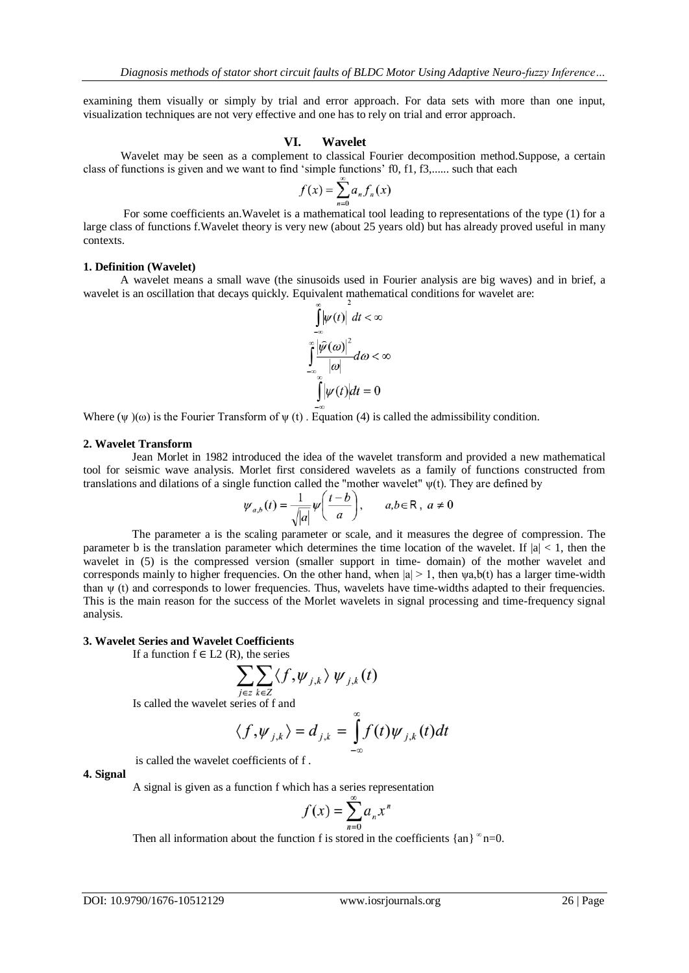examining them visually or simply by trial and error approach. For data sets with more than one input, visualization techniques are not very effective and one has to rely on trial and error approach.

#### **VI. Wavelet**

 Wavelet may be seen as a complement to classical Fourier decomposition method.Suppose, a certain class of functions is given and we want to find 'simple functions'  $f_0$ ,  $f_1$ ,  $f_3$ ,...... such that each

$$
f(x) = \sum_{n=0}^{\infty} a_n f_n(x)
$$

 For some coefficients an.Wavelet is a mathematical tool leading to representations of the type (1) for a large class of functions f.Wavelet theory is very new (about 25 years old) but has already proved useful in many contexts.

## **1. Definition (Wavelet)**

 A wavelet means a small wave (the sinusoids used in Fourier analysis are big waves) and in brief, a wavelet is an oscillation that decays quickly. Equivalent mathematical conditions for wavelet are:

$$
\int_{-\infty}^{\infty} |\psi(t)| dt < \infty
$$
  

$$
\int_{-\infty}^{\infty} |\widehat{\psi}(\omega)|^2 d\omega < \infty
$$
  

$$
\int_{-\infty}^{\infty} |\psi(t)| dt = 0
$$

Where  $(\psi)(\omega)$  is the Fourier Transform of  $\psi$  (t). Equation (4) is called the admissibility condition.

#### **2. Wavelet Transform**

 Jean Morlet in 1982 introduced the idea of the wavelet transform and provided a new mathematical tool for seismic wave analysis. Morlet first considered wavelets as a family of functions constructed from translations and dilations of a single function called the "mother wavelet"  $\psi(t)$ . They are defined by

$$
\psi_{a,b}(t) = \frac{1}{\sqrt{|a|}} \psi\bigg(\frac{t-b}{a}\bigg), \qquad a,b \in \mathbb{R}, \ a \neq 0
$$

 The parameter a is the scaling parameter or scale, and it measures the degree of compression. The parameter b is the translation parameter which determines the time location of the wavelet. If  $|a| < 1$ , then the wavelet in (5) is the compressed version (smaller support in time- domain) of the mother wavelet and corresponds mainly to higher frequencies. On the other hand, when  $|a| > 1$ , then  $\psi a$ , b(t) has a larger time-width than  $\psi$  (t) and corresponds to lower frequencies. Thus, wavelets have time-widths adapted to their frequencies. This is the main reason for the success of the Morlet wavelets in signal processing and time-frequency signal analysis.

### **3. Wavelet Series and Wavelet Coefficients**

If a function  $f \in L2(R)$ , the series

$$
\sum_{j\in z}\sum_{k\in Z}\langle f,\psi_{j,k}\rangle\ \psi_{j,k}(t)
$$

Is called the wavelet series of f and

$$
\langle f, \psi_{j,k} \rangle = d_{j,k} = \int_{-\infty}^{\infty} f(t) \psi_{j,k}(t) dt
$$

is called the wavelet coefficients of f .

#### **4. Signal**

A signal is given as a function f which has a series representation

$$
f(x) = \sum_{n=0}^{\infty} a_n x
$$

Then all information about the function f is stored in the coefficients  $\{an\}^{\infty}$  n=0.

 $\overline{n}$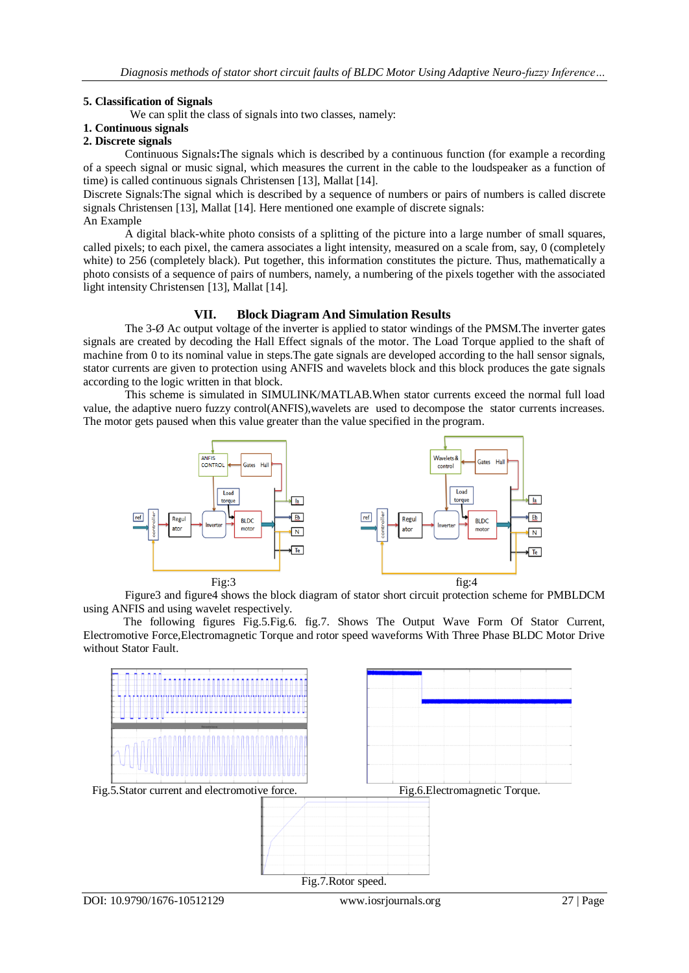## **5. Classification of Signals**

We can split the class of signals into two classes, namely:

## **1. Continuous signals**

## **2. Discrete signals**

Continuous Signals**:**The signals which is described by a continuous function (for example a recording of a speech signal or music signal, which measures the current in the cable to the loudspeaker as a function of time) is called continuous signals Christensen [13], Mallat [14].

Discrete Signals:The signal which is described by a sequence of numbers or pairs of numbers is called discrete signals Christensen [13], Mallat [14]. Here mentioned one example of discrete signals: An Example

A digital black-white photo consists of a splitting of the picture into a large number of small squares, called pixels; to each pixel, the camera associates a light intensity, measured on a scale from, say, 0 (completely white) to 256 (completely black). Put together, this information constitutes the picture. Thus, mathematically a photo consists of a sequence of pairs of numbers, namely, a numbering of the pixels together with the associated light intensity Christensen [13], Mallat [14].

## **VII. Block Diagram And Simulation Results**

The 3-Ø Ac output voltage of the inverter is applied to stator windings of the PMSM.The inverter gates signals are created by decoding the Hall Effect signals of the motor. The Load Torque applied to the shaft of machine from 0 to its nominal value in steps.The gate signals are developed according to the hall sensor signals, stator currents are given to protection using ANFIS and wavelets block and this block produces the gate signals according to the logic written in that block.

This scheme is simulated in SIMULINK/MATLAB.When stator currents exceed the normal full load value, the adaptive nuero fuzzy control(ANFIS),wavelets are used to decompose the stator currents increases. The motor gets paused when this value greater than the value specified in the program.



Figure3 and figure4 shows the block diagram of stator short circuit protection scheme for PMBLDCM using ANFIS and using wavelet respectively.

 The following figures Fig.5.Fig.6. fig.7. Shows The Output Wave Form Of Stator Current, Electromotive Force,Electromagnetic Torque and rotor speed waveforms With Three Phase BLDC Motor Drive without Stator Fault.

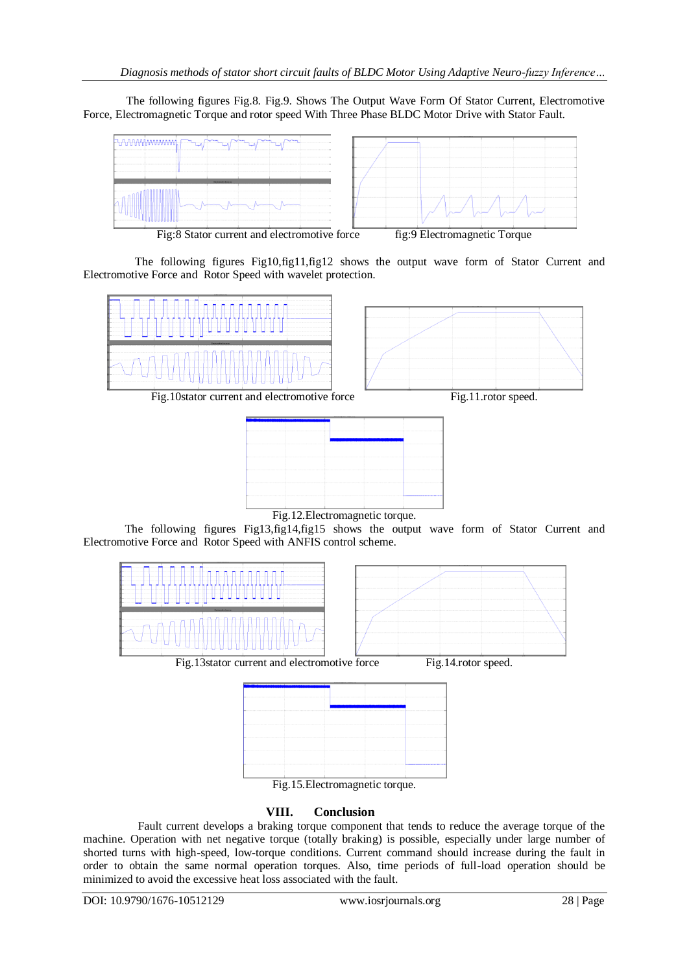The following figures Fig.8. Fig.9. Shows The Output Wave Form Of Stator Current, Electromotive Force, Electromagnetic Torque and rotor speed With Three Phase BLDC Motor Drive with Stator Fault.



 The following figures Fig10,fig11,fig12 shows the output wave form of Stator Current and Electromotive Force and Rotor Speed with wavelet protection.



Fig.10stator current and electromotive force Fig.11.rotor speed.





Fig.12.Electromagnetic torque.

The following figures Fig13,fig14,fig15 shows the output wave form of Stator Current and Electromotive Force and Rotor Speed with ANFIS control scheme.



Fig.13stator current and electromotive force Fig.14.rotor speed.



Fig.15.Electromagnetic torque.

## **VIII. Conclusion**

 Fault current develops a braking torque component that tends to reduce the average torque of the machine. Operation with net negative torque (totally braking) is possible, especially under large number of shorted turns with high-speed, low-torque conditions. Current command should increase during the fault in order to obtain the same normal operation torques. Also, time periods of full-load operation should be minimized to avoid the excessive heat loss associated with the fault.